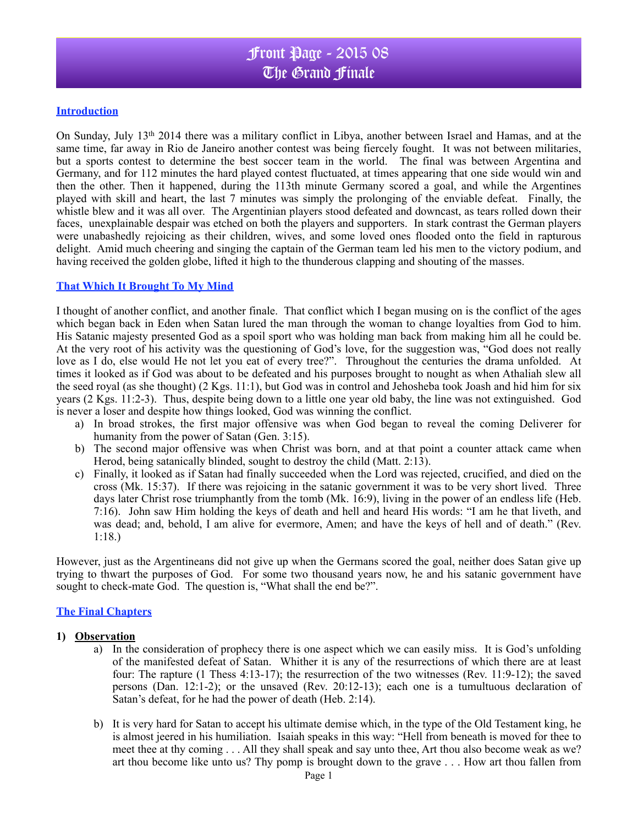#### **Introduction**

On Sunday, July 13th 2014 there was a military conflict in Libya, another between Israel and Hamas, and at the same time, far away in Rio de Janeiro another contest was being fiercely fought. It was not between militaries, but a sports contest to determine the best soccer team in the world. The final was between Argentina and Germany, and for 112 minutes the hard played contest fluctuated, at times appearing that one side would win and then the other. Then it happened, during the 113th minute Germany scored a goal, and while the Argentines played with skill and heart, the last 7 minutes was simply the prolonging of the enviable defeat. Finally, the whistle blew and it was all over. The Argentinian players stood defeated and downcast, as tears rolled down their faces, unexplainable despair was etched on both the players and supporters. In stark contrast the German players were unabashedly rejoicing as their children, wives, and some loved ones flooded onto the field in rapturous delight. Amid much cheering and singing the captain of the German team led his men to the victory podium, and having received the golden globe, lifted it high to the thunderous clapping and shouting of the masses.

#### **That Which It Brought To My Mind**

I thought of another conflict, and another finale. That conflict which I began musing on is the conflict of the ages which began back in Eden when Satan lured the man through the woman to change loyalties from God to him. His Satanic majesty presented God as a spoil sport who was holding man back from making him all he could be. At the very root of his activity was the questioning of God's love, for the suggestion was, "God does not really love as I do, else would He not let you eat of every tree?". Throughout the centuries the drama unfolded. At times it looked as if God was about to be defeated and his purposes brought to nought as when Athaliah slew all the seed royal (as she thought) (2 Kgs. 11:1), but God was in control and Jehosheba took Joash and hid him for six years (2 Kgs. 11:2-3). Thus, despite being down to a little one year old baby, the line was not extinguished. God is never a loser and despite how things looked, God was winning the conflict.

- a) In broad strokes, the first major offensive was when God began to reveal the coming Deliverer for humanity from the power of Satan (Gen. 3:15).
- b) The second major offensive was when Christ was born, and at that point a counter attack came when Herod, being satanically blinded, sought to destroy the child (Matt. 2:13).
- c) Finally, it looked as if Satan had finally succeeded when the Lord was rejected, crucified, and died on the cross (Mk. 15:37). If there was rejoicing in the satanic government it was to be very short lived. Three days later Christ rose triumphantly from the tomb (Mk. 16:9), living in the power of an endless life (Heb. 7:16). John saw Him holding the keys of death and hell and heard His words: "I am he that liveth, and was dead; and, behold, I am alive for evermore, Amen; and have the keys of hell and of death." (Rev. 1:18.)

However, just as the Argentineans did not give up when the Germans scored the goal, neither does Satan give up trying to thwart the purposes of God. For some two thousand years now, he and his satanic government have sought to check-mate God. The question is, "What shall the end be?".

#### **The Final Chapters**

#### **1) Observation**

- a) In the consideration of prophecy there is one aspect which we can easily miss. It is God's unfolding of the manifested defeat of Satan. Whither it is any of the resurrections of which there are at least four: The rapture (1 Thess 4:13-17); the resurrection of the two witnesses (Rev. 11:9-12); the saved persons (Dan. 12:1-2); or the unsaved (Rev. 20:12-13); each one is a tumultuous declaration of Satan's defeat, for he had the power of death (Heb. 2:14).
- b) It is very hard for Satan to accept his ultimate demise which, in the type of the Old Testament king, he is almost jeered in his humiliation. Isaiah speaks in this way: "Hell from beneath is moved for thee to meet thee at thy coming . . . All they shall speak and say unto thee, Art thou also become weak as we? art thou become like unto us? Thy pomp is brought down to the grave . . . How art thou fallen from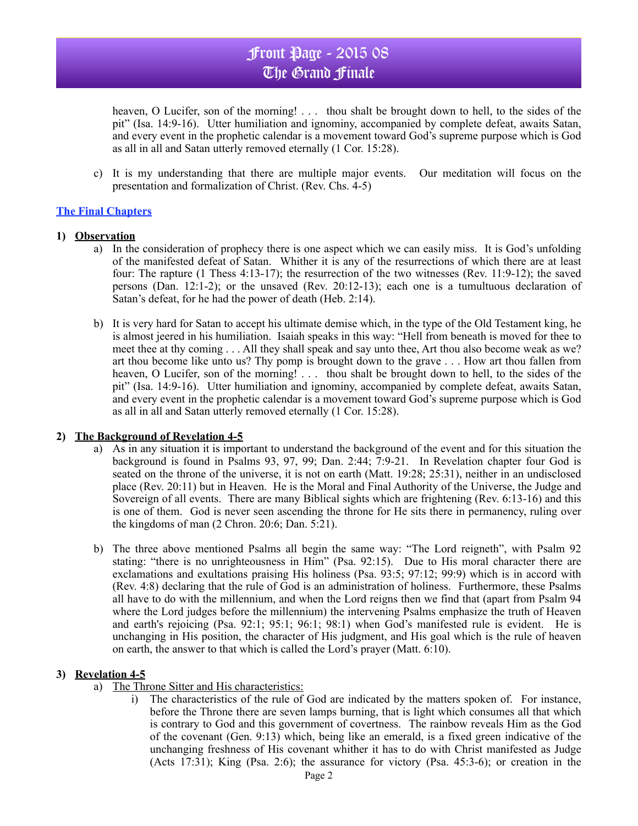heaven, O Lucifer, son of the morning! . . . thou shalt be brought down to hell, to the sides of the pit" (Isa. 14:9-16). Utter humiliation and ignominy, accompanied by complete defeat, awaits Satan, and every event in the prophetic calendar is a movement toward God's supreme purpose which is God as all in all and Satan utterly removed eternally (1 Cor. 15:28).

c) It is my understanding that there are multiple major events. Our meditation will focus on the presentation and formalization of Christ. (Rev. Chs. 4-5)

#### **The Final Chapters**

### **1) Observation**

- a) In the consideration of prophecy there is one aspect which we can easily miss. It is God's unfolding of the manifested defeat of Satan. Whither it is any of the resurrections of which there are at least four: The rapture (1 Thess 4:13-17); the resurrection of the two witnesses (Rev. 11:9-12); the saved persons (Dan. 12:1-2); or the unsaved (Rev. 20:12-13); each one is a tumultuous declaration of Satan's defeat, for he had the power of death (Heb. 2:14).
- b) It is very hard for Satan to accept his ultimate demise which, in the type of the Old Testament king, he is almost jeered in his humiliation. Isaiah speaks in this way: "Hell from beneath is moved for thee to meet thee at thy coming . . . All they shall speak and say unto thee, Art thou also become weak as we? art thou become like unto us? Thy pomp is brought down to the grave . . . How art thou fallen from heaven, O Lucifer, son of the morning! . . . thou shalt be brought down to hell, to the sides of the pit" (Isa. 14:9-16). Utter humiliation and ignominy, accompanied by complete defeat, awaits Satan, and every event in the prophetic calendar is a movement toward God's supreme purpose which is God as all in all and Satan utterly removed eternally (1 Cor. 15:28).

### **2) The Background of Revelation 4-5**

- a) As in any situation it is important to understand the background of the event and for this situation the background is found in Psalms 93, 97, 99; Dan. 2:44; 7:9-21. In Revelation chapter four God is seated on the throne of the universe, it is not on earth (Matt. 19:28; 25:31), neither in an undisclosed place (Rev. 20:11) but in Heaven. He is the Moral and Final Authority of the Universe, the Judge and Sovereign of all events. There are many Biblical sights which are frightening (Rev. 6:13-16) and this is one of them. God is never seen ascending the throne for He sits there in permanency, ruling over the kingdoms of man (2 Chron. 20:6; Dan. 5:21).
- b) The three above mentioned Psalms all begin the same way: "The Lord reigneth", with Psalm 92 stating: "there is no unrighteousness in Him" (Psa. 92:15). Due to His moral character there are exclamations and exultations praising His holiness (Psa. 93:5; 97:12; 99:9) which is in accord with (Rev. 4:8) declaring that the rule of God is an administration of holiness. Furthermore, these Psalms all have to do with the millennium, and when the Lord reigns then we find that (apart from Psalm 94 where the Lord judges before the millennium) the intervening Psalms emphasize the truth of Heaven and earth's rejoicing (Psa. 92:1; 95:1; 96:1; 98:1) when God's manifested rule is evident. He is unchanging in His position, the character of His judgment, and His goal which is the rule of heaven on earth, the answer to that which is called the Lord's prayer (Matt. 6:10).

### **3) Revelation 4-5**

- a) The Throne Sitter and His characteristics:
	- i) The characteristics of the rule of God are indicated by the matters spoken of. For instance, before the Throne there are seven lamps burning, that is light which consumes all that which is contrary to God and this government of covertness. The rainbow reveals Him as the God of the covenant (Gen. 9:13) which, being like an emerald, is a fixed green indicative of the unchanging freshness of His covenant whither it has to do with Christ manifested as Judge (Acts 17:31); King (Psa. 2:6); the assurance for victory (Psa. 45:3-6); or creation in the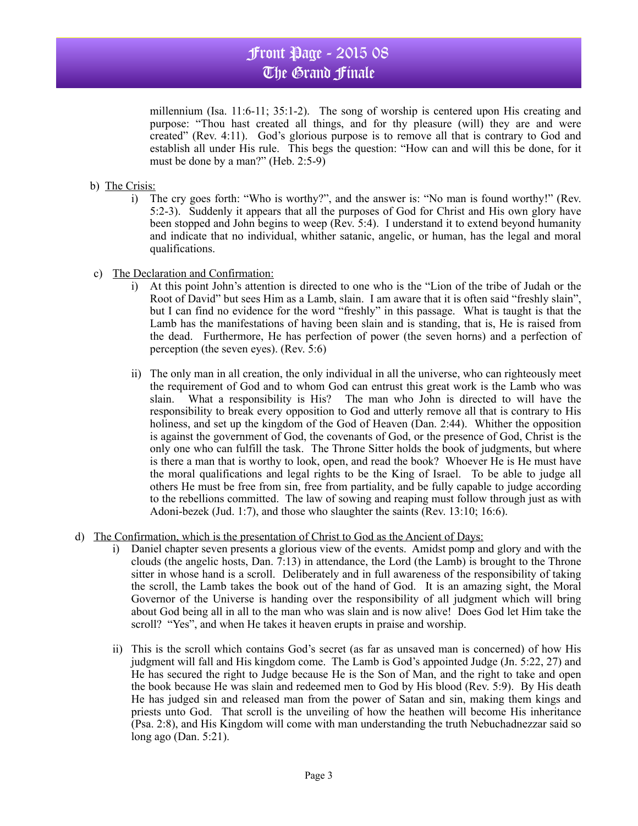millennium (Isa. 11:6-11; 35:1-2). The song of worship is centered upon His creating and purpose: "Thou hast created all things, and for thy pleasure (will) they are and were created" (Rev. 4:11). God's glorious purpose is to remove all that is contrary to God and establish all under His rule. This begs the question: "How can and will this be done, for it must be done by a man?" (Heb. 2:5-9)

### b) The Crisis:

- i) The cry goes forth: "Who is worthy?", and the answer is: "No man is found worthy!" (Rev. 5:2-3). Suddenly it appears that all the purposes of God for Christ and His own glory have been stopped and John begins to weep (Rev. 5:4). I understand it to extend beyond humanity and indicate that no individual, whither satanic, angelic, or human, has the legal and moral qualifications.
- c) The Declaration and Confirmation:
	- i) At this point John's attention is directed to one who is the "Lion of the tribe of Judah or the Root of David" but sees Him as a Lamb, slain. I am aware that it is often said "freshly slain", but I can find no evidence for the word "freshly" in this passage. What is taught is that the Lamb has the manifestations of having been slain and is standing, that is, He is raised from the dead. Furthermore, He has perfection of power (the seven horns) and a perfection of perception (the seven eyes). (Rev. 5:6)
	- ii) The only man in all creation, the only individual in all the universe, who can righteously meet the requirement of God and to whom God can entrust this great work is the Lamb who was slain. What a responsibility is His? The man who John is directed to will have the responsibility to break every opposition to God and utterly remove all that is contrary to His holiness, and set up the kingdom of the God of Heaven (Dan. 2:44). Whither the opposition is against the government of God, the covenants of God, or the presence of God, Christ is the only one who can fulfill the task. The Throne Sitter holds the book of judgments, but where is there a man that is worthy to look, open, and read the book? Whoever He is He must have the moral qualifications and legal rights to be the King of Israel. To be able to judge all others He must be free from sin, free from partiality, and be fully capable to judge according to the rebellions committed. The law of sowing and reaping must follow through just as with Adoni-bezek (Jud. 1:7), and those who slaughter the saints (Rev. 13:10; 16:6).
- d) The Confirmation, which is the presentation of Christ to God as the Ancient of Days:
	- i) Daniel chapter seven presents a glorious view of the events. Amidst pomp and glory and with the clouds (the angelic hosts, Dan. 7:13) in attendance, the Lord (the Lamb) is brought to the Throne sitter in whose hand is a scroll. Deliberately and in full awareness of the responsibility of taking the scroll, the Lamb takes the book out of the hand of God. It is an amazing sight, the Moral Governor of the Universe is handing over the responsibility of all judgment which will bring about God being all in all to the man who was slain and is now alive! Does God let Him take the scroll? "Yes", and when He takes it heaven erupts in praise and worship.
	- ii) This is the scroll which contains God's secret (as far as unsaved man is concerned) of how His judgment will fall and His kingdom come. The Lamb is God's appointed Judge (Jn. 5:22, 27) and He has secured the right to Judge because He is the Son of Man, and the right to take and open the book because He was slain and redeemed men to God by His blood (Rev. 5:9). By His death He has judged sin and released man from the power of Satan and sin, making them kings and priests unto God. That scroll is the unveiling of how the heathen will become His inheritance (Psa. 2:8), and His Kingdom will come with man understanding the truth Nebuchadnezzar said so long ago (Dan. 5:21).